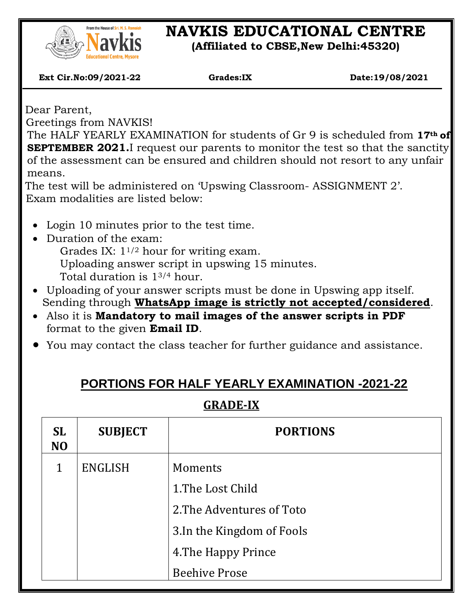

# **NAVKIS EDUCATIONAL CENTRE**

**(Affiliated to CBSE,New Delhi:45320)**

 **Ext Cir.No:09/2021-22 Grades:IX Date:19/08/2021**

Dear Parent,

 $\overline{\phantom{a}}$ 

Greetings from NAVKIS!

The HALF YEARLY EXAMINATION for students of Gr 9 is scheduled from **17th of SEPTEMBER 2021.**I request our parents to monitor the test so that the sanctity of the assessment can be ensured and children should not resort to any unfair means.

The test will be administered on 'Upswing Classroom- ASSIGNMENT 2'. Exam modalities are listed below:

- Login 10 minutes prior to the test time.
- Duration of the exam:

Grades IX: 11/2 hour for writing exam. Uploading answer script in upswing 15 minutes.

- Total duration is 13/4 hour.
- Uploading of your answer scripts must be done in Upswing app itself. Sending through **WhatsApp image is strictly not accepted/considered**.
- Also it is **Mandatory to mail images of the answer scripts in PDF** format to the given **Email ID**.
- You may contact the class teacher for further guidance and assistance.

### **PORTIONS FOR HALF YEARLY EXAMINATION -2021-22**

#### **GRADE-IX**

| <b>SL</b><br>N <sub>O</sub> | <b>SUBJECT</b> | <b>PORTIONS</b>            |  |
|-----------------------------|----------------|----------------------------|--|
| 1                           | <b>ENGLISH</b> | Moments                    |  |
|                             |                | 1. The Lost Child          |  |
|                             |                | 2. The Adventures of Toto  |  |
|                             |                | 3. In the Kingdom of Fools |  |
|                             |                | 4. The Happy Prince        |  |
|                             |                | <b>Beehive Prose</b>       |  |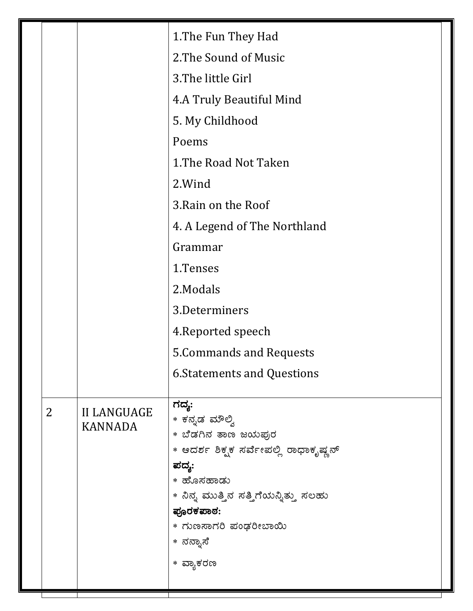| 1. The Fun They Had<br>2. The Sound of Music<br>3. The little Girl<br>4.A Truly Beautiful Mind<br>5. My Childhood<br>Poems<br>1. The Road Not Taken<br>2. Wind<br>3. Rain on the Roof<br>4. A Legend of The Northland<br>Grammar<br>1.Tenses<br>2. Modals<br>3.Determiners<br>4. Reported speech<br>5. Commands and Requests<br><b>6. Statements and Questions</b><br>ಗದ್ಯ:<br>$\overline{2}$<br><b>II LANGUAGE</b><br>* ಕನ್ನಡ ಮೌಲ್ವಿ<br><b>KANNADA</b><br>* ಬೆಡಗಿನ ತಾಣ ಜಯಪುರ<br>ಪದ್ಯ: |                                                    |
|----------------------------------------------------------------------------------------------------------------------------------------------------------------------------------------------------------------------------------------------------------------------------------------------------------------------------------------------------------------------------------------------------------------------------------------------------------------------------------------|----------------------------------------------------|
|                                                                                                                                                                                                                                                                                                                                                                                                                                                                                        |                                                    |
|                                                                                                                                                                                                                                                                                                                                                                                                                                                                                        |                                                    |
|                                                                                                                                                                                                                                                                                                                                                                                                                                                                                        |                                                    |
|                                                                                                                                                                                                                                                                                                                                                                                                                                                                                        |                                                    |
|                                                                                                                                                                                                                                                                                                                                                                                                                                                                                        |                                                    |
|                                                                                                                                                                                                                                                                                                                                                                                                                                                                                        |                                                    |
|                                                                                                                                                                                                                                                                                                                                                                                                                                                                                        |                                                    |
|                                                                                                                                                                                                                                                                                                                                                                                                                                                                                        |                                                    |
|                                                                                                                                                                                                                                                                                                                                                                                                                                                                                        |                                                    |
|                                                                                                                                                                                                                                                                                                                                                                                                                                                                                        |                                                    |
|                                                                                                                                                                                                                                                                                                                                                                                                                                                                                        |                                                    |
|                                                                                                                                                                                                                                                                                                                                                                                                                                                                                        |                                                    |
|                                                                                                                                                                                                                                                                                                                                                                                                                                                                                        |                                                    |
|                                                                                                                                                                                                                                                                                                                                                                                                                                                                                        |                                                    |
|                                                                                                                                                                                                                                                                                                                                                                                                                                                                                        |                                                    |
|                                                                                                                                                                                                                                                                                                                                                                                                                                                                                        |                                                    |
|                                                                                                                                                                                                                                                                                                                                                                                                                                                                                        |                                                    |
|                                                                                                                                                                                                                                                                                                                                                                                                                                                                                        |                                                    |
| * ನಿನ್ನ ಮುತ್ತಿನ ಸತ್ತಿಗೆಯನ್ನಿತ್ತು ಸಲಹು<br>ಪೂರಕಪಾಠ:<br>* ಗುಣಸಾಗರಿ ಪಂಢರೀಬಾಯಿ<br>* ನನ್ನಾಸೆ<br>* ವ್ಯಾಕರಣ                                                                                                                                                                                                                                                                                                                                                                                    | * ಆದರ್ಶ ಶಿಕ್ಖಕ ಸರ್ವೇಪಲ್ಲಿ ರಾಧಾಕೃಷ್ಣನ್<br>* ಹೊಸಹಾಡು |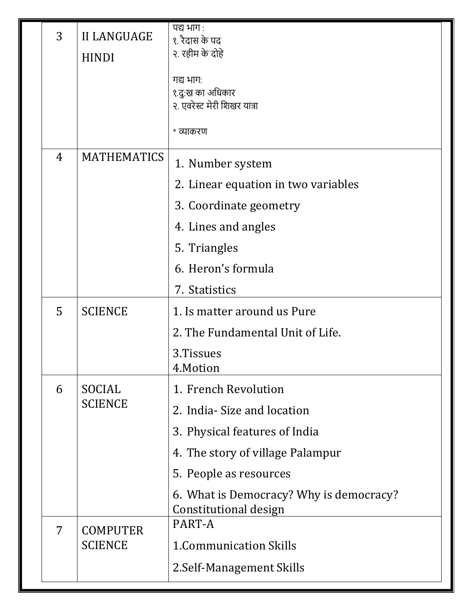|  | 3              | <b>II LANGUAGE</b>       | पद्य भाग :<br>१. रैदास के पद                                     |  |
|--|----------------|--------------------------|------------------------------------------------------------------|--|
|  |                | <b>HINDI</b>             | २. रहीम के दोहे                                                  |  |
|  |                |                          | गद्य भाग:                                                        |  |
|  |                |                          | १.दु:ख का अधिकार                                                 |  |
|  |                |                          | २. एवरेस्ट मेरी शिखर यात्रा                                      |  |
|  |                |                          | * व्याकरण                                                        |  |
|  | $\overline{4}$ | <b>MATHEMATICS</b>       | 1. Number system                                                 |  |
|  |                |                          | 2. Linear equation in two variables                              |  |
|  |                |                          | 3. Coordinate geometry                                           |  |
|  |                |                          | 4. Lines and angles                                              |  |
|  |                |                          | 5. Triangles                                                     |  |
|  |                |                          | 6. Heron's formula                                               |  |
|  |                |                          | 7. Statistics                                                    |  |
|  | 5              | <b>SCIENCE</b>           | 1. Is matter around us Pure                                      |  |
|  |                |                          | 2. The Fundamental Unit of Life.                                 |  |
|  |                |                          | 3.Tissues<br>4.Motion                                            |  |
|  | 6              | SOCIAL<br><b>SCIENCE</b> | 1. French Revolution                                             |  |
|  |                |                          | 2. India - Size and location                                     |  |
|  |                |                          | 3. Physical features of India                                    |  |
|  |                |                          | 4. The story of village Palampur                                 |  |
|  |                |                          | 5. People as resources                                           |  |
|  |                |                          | 6. What is Democracy? Why is democracy?<br>Constitutional design |  |
|  | 7              | <b>COMPUTER</b>          | PART-A                                                           |  |
|  |                | <b>SCIENCE</b>           | <b>1. Communication Skills</b>                                   |  |
|  |                |                          | 2. Self-Management Skills                                        |  |
|  |                |                          |                                                                  |  |